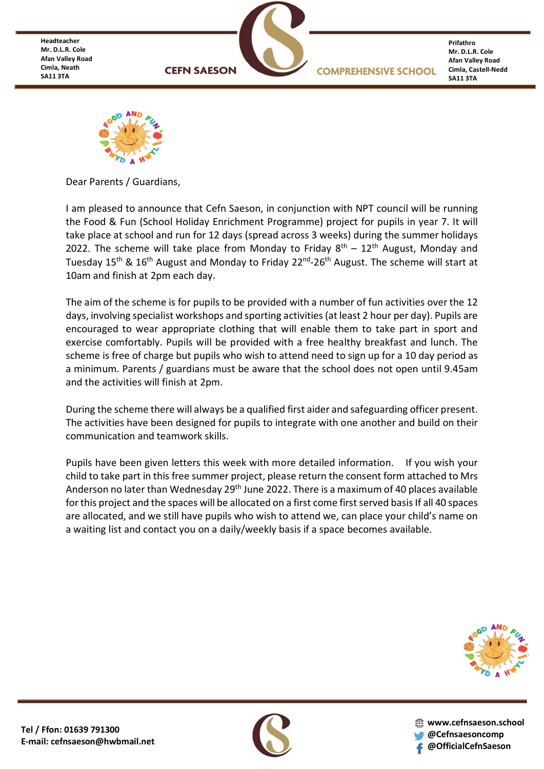**Headteacher Mr. D.L.R. Cole Afan Valley Road Cimla, Neath SA11 3TA**



**Prifathro Mr. D.L.R. Cole Afan Valley Road Cimla, Castell-Nedd SA11 3TA**



Dear Parents / Guardians,

I am pleased to announce that Cefn Saeson, in conjunction with NPT council will be running the Food & Fun (School Holiday Enrichment Programme) project for pupils in year 7. It will take place at school and run for 12 days (spread across 3 weeks) during the summer holidays 2022. The scheme will take place from Monday to Friday  $8<sup>th</sup> - 12<sup>th</sup>$  August, Monday and Tuesday 15<sup>th</sup> & 16<sup>th</sup> August and Monday to Friday 22<sup>nd</sup>-26<sup>th</sup> August. The scheme will start at 10am and finish at 2pm each day.

The aim of the scheme is for pupils to be provided with a number of fun activities over the 12 days, involving specialist workshops and sporting activities (at least 2 hour per day). Pupils are encouraged to wear appropriate clothing that will enable them to take part in sport and exercise comfortably. Pupils will be provided with a free healthy breakfast and lunch. The scheme is free of charge but pupils who wish to attend need to sign up for a 10 day period as a minimum. Parents / guardians must be aware that the school does not open until 9.45am and the activities will finish at 2pm.

During the scheme there will always be a qualified first aider and safeguarding officer present. The activities have been designed for pupils to integrate with one another and build on their communication and teamwork skills.

Pupils have been given letters this week with more detailed information. If you wish your child to take part in this free summer project, please return the consent form attached to Mrs Anderson no later than Wednesday 29<sup>th</sup> June 2022. There is a maximum of 40 places available for this project and the spaces will be allocated on a first come first served basis If all 40 spaces are allocated, and we still have pupils who wish to attend we, can place your child's name on a waiting list and contact you on a daily/weekly basis if a space becomes available.